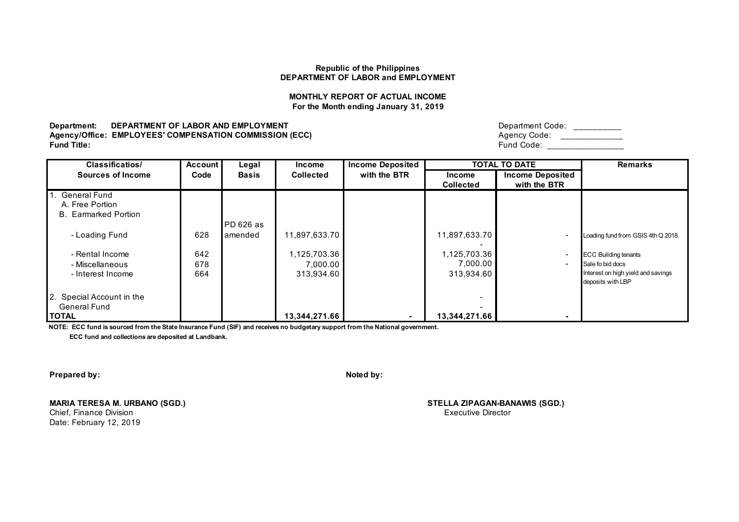## **MONTHLY REPORT OF ACTUAL INCOME For the Month ending January 31, 2019**

**Department: DEPARTMENT OF LABOR AND EMPLOYMENT Agency/Office: EMPLOYEES' COMPENSATION COMMISSION (ECC)**<br>Fund Title: **Fund Title:** Fund Code: \_\_\_\_\_\_\_\_\_\_\_\_\_\_\_\_

| Department Code: |  |
|------------------|--|
| Agency Code:     |  |
| Fund Code:       |  |

| <b>Classificatios/</b>      | <b>Account</b> | Legal        | <b>Income</b>    | <b>Income Deposited</b> |                  | <b>TOTAL TO DATE</b>    | <b>Remarks</b>                     |
|-----------------------------|----------------|--------------|------------------|-------------------------|------------------|-------------------------|------------------------------------|
| Sources of Income           | Code           | <b>Basis</b> | <b>Collected</b> | with the BTR            | <b>Income</b>    | <b>Income Deposited</b> |                                    |
|                             |                |              |                  |                         | <b>Collected</b> | with the BTR            |                                    |
| 1. General Fund             |                |              |                  |                         |                  |                         |                                    |
| A. Free Portion             |                |              |                  |                         |                  |                         |                                    |
| <b>B.</b> Earmarked Portion |                |              |                  |                         |                  |                         |                                    |
|                             |                | PD 626 as    |                  |                         |                  |                         |                                    |
| - Loading Fund              | 628            | lamended     | 11,897,633.70    |                         | 11,897,633.70    |                         | Loading fund from GSIS 4th Q 2018. |
|                             |                |              |                  |                         |                  |                         |                                    |
| - Rental Income             | 642            |              | 1,125,703.36     |                         | 1,125,703.36     |                         | <b>ECC Building tenants</b>        |
| - Miscellaneous             | 678            |              | 7,000.00         |                         | 7,000.00         |                         | Sale fo bid docs                   |
| - Interest Income           | 664            |              | 313,934.60       |                         | 313,934.60       |                         | Interest on high yield and savings |
|                             |                |              |                  |                         |                  |                         | deposits with LBP                  |
| 2. Special Account in the   |                |              |                  |                         |                  |                         |                                    |
| General Fund                |                |              |                  |                         |                  |                         |                                    |
| <b>TOTAL</b>                |                |              | 13,344,271.66    | $\blacksquare$          | 13,344,271.66    |                         |                                    |

**NOTE: ECC fund is sourced from the State Insurance Fund (SIF) and receives no budgetary support from the National government.**

 **ECC fund and collections are deposited at Landbank.**

**Prepared by: Noted by: Noted by: Noted by: Noted by: Noted by: Noted by: Noted by: Noted by: Noted by: Noted by: Noted by: Noted by: Noted by: Noted by: Noted by: Noted by: Noted by: No** 

**MARIA TERESA M. URBANO (SGD.) STELLA ZIPAGAN-BANAWIS (SGD.)** Chief, Finance Division Date: February 12, 2019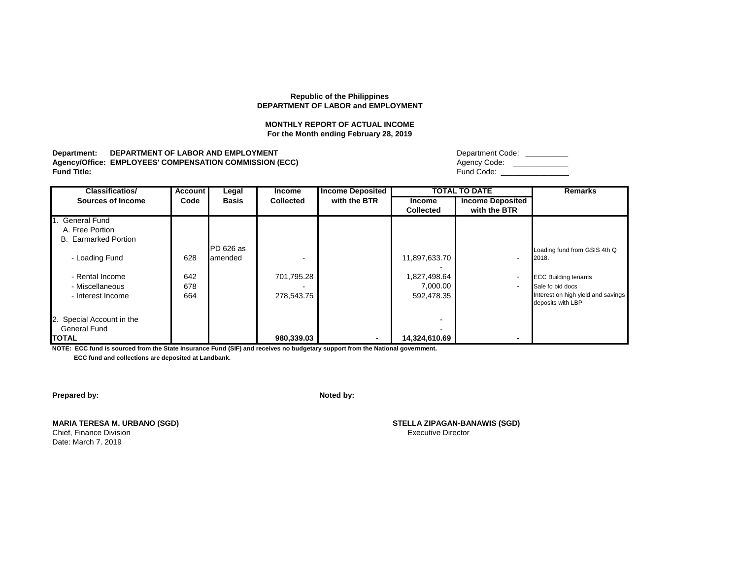#### **MONTHLY REPORT OF ACTUAL INCOME For the Month ending February 28, 2019**

#### Department: DEPARTMENT OF LABOR AND EMPLOYMENT Agency/Office: EMPLOYEES' COMPENSATION COMMISSION (ECC) **Fund Title:** Fund Code: \_\_\_\_\_\_\_\_\_\_\_\_\_\_\_\_

| Department Code: |  |
|------------------|--|
| Agency Code:     |  |
| Fund Code:       |  |

| <b>Classificatios/</b>      | Account | Legal        | <b>Income</b> | <b>Income Deposited</b> |                  | <b>TOTAL TO DATE</b>    | <b>Remarks</b>                     |
|-----------------------------|---------|--------------|---------------|-------------------------|------------------|-------------------------|------------------------------------|
| Sources of Income           | Code    | <b>Basis</b> | Collected     | with the BTR            | <b>Income</b>    | <b>Income Deposited</b> |                                    |
|                             |         |              |               |                         | <b>Collected</b> | with the BTR            |                                    |
| 1. General Fund             |         |              |               |                         |                  |                         |                                    |
| A. Free Portion             |         |              |               |                         |                  |                         |                                    |
| <b>B.</b> Earmarked Portion |         |              |               |                         |                  |                         |                                    |
|                             |         | PD 626 as    |               |                         |                  |                         | Loading fund from GSIS 4th Q       |
| - Loading Fund              | 628     | amended      |               |                         | 11,897,633.70    | ۰                       | 2018.                              |
|                             |         |              |               |                         |                  |                         |                                    |
| - Rental Income             | 642     |              | 701,795.28    |                         | 1,827,498.64     |                         | <b>ECC Building tenants</b>        |
| - Miscellaneous             | 678     |              |               |                         | 7,000.00         |                         | Sale fo bid docs                   |
| - Interest Income           | 664     |              | 278,543.75    |                         | 592,478.35       |                         | Interest on high yield and savings |
|                             |         |              |               |                         |                  |                         | deposits with LBP                  |
|                             |         |              |               |                         |                  |                         |                                    |
| 2. Special Account in the   |         |              |               |                         |                  |                         |                                    |
| <b>General Fund</b>         |         |              |               |                         |                  |                         |                                    |
| <b>TOTAL</b>                |         |              | 980,339.03    | ۰                       | 14,324,610.69    |                         |                                    |

**NOTE: ECC fund is sourced from the State Insurance Fund (SIF) and receives no budgetary support from the National government. ECC fund and collections are deposited at Landbank.**

**Prepared by: Noted by: Noted by: Noted by: Noted by: Noted by: Noted by: Noted by: Noted by: Noted by: Noted by: Noted by: Noted by: Noted by: Noted by: Noted by: Noted by: Noted by: No** 

**MARIA TERESA M. URBANO (SGD) STELLA ZIPAGAN-BANAWIS (SGD)** Chief, Finance Division **Executive Division** Executive Director Date: March 7. 2019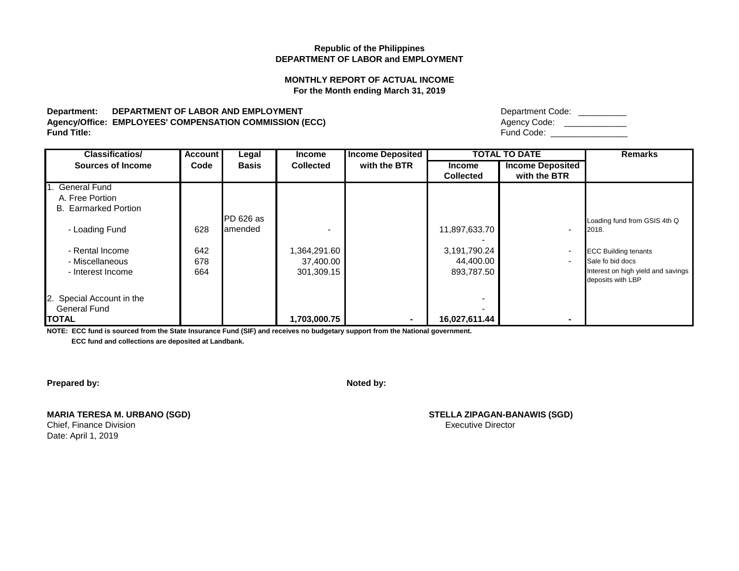# **MONTHLY REPORT OF ACTUAL INCOME For the Month ending March 31, 2019**

## Department: DEPARTMENT OF LABOR AND EMPLOYMENT Agency/Office: EMPLOYEES' COMPENSATION COMMISSION (ECC) **Fund Title:** Fund Code: \_\_\_\_\_\_\_\_\_\_\_\_\_\_\_\_

| Department Code: |  |
|------------------|--|
| Agency Code:     |  |
| Fund Code:       |  |

| <b>Classificatios/</b>      | Account | Legal        | <b>Income</b>    | <b>Income Deposited</b> |                  | <b>TOTAL TO DATE</b>     | <b>Remarks</b>                     |
|-----------------------------|---------|--------------|------------------|-------------------------|------------------|--------------------------|------------------------------------|
| <b>Sources of Income</b>    | Code    | <b>Basis</b> | <b>Collected</b> | with the BTR            | <b>Income</b>    | <b>Income Deposited</b>  |                                    |
|                             |         |              |                  |                         | <b>Collected</b> | with the BTR             |                                    |
| <b>General Fund</b>         |         |              |                  |                         |                  |                          |                                    |
| A. Free Portion             |         |              |                  |                         |                  |                          |                                    |
| <b>B.</b> Earmarked Portion |         |              |                  |                         |                  |                          |                                    |
|                             |         | PD 626 as    |                  |                         |                  |                          | Loading fund from GSIS 4th Q       |
| - Loading Fund              | 628     | lamended     |                  |                         | 11,897,633.70    | $\blacksquare$           | 2018.                              |
|                             |         |              |                  |                         |                  |                          |                                    |
| - Rental Income             | 642     |              | 364,291.60,      |                         | 3,191,790.24     | $\blacksquare$           | <b>ECC Building tenants</b>        |
| - Miscellaneous             | 678     |              | 37,400.00        |                         | 44,400.00        | $\overline{\phantom{a}}$ | Sale fo bid docs                   |
| - Interest Income           | 664     |              | 301,309.15       |                         | 893,787.50       |                          | Interest on high yield and savings |
|                             |         |              |                  |                         |                  |                          | deposits with LBP                  |
|                             |         |              |                  |                         |                  |                          |                                    |
| 2. Special Account in the   |         |              |                  |                         |                  |                          |                                    |
| <b>General Fund</b>         |         |              |                  |                         |                  |                          |                                    |
| <b>ITOTAL</b>               |         |              | 1,703,000.75     | ٠                       | 16,027,611.44    | $\overline{\phantom{0}}$ |                                    |

**NOTE: ECC fund is sourced from the State Insurance Fund (SIF) and receives no budgetary support from the National government.**

 **ECC fund and collections are deposited at Landbank.**

**Prepared by: Noted by: Noted by: Noted by: Noted by: Noted by: Noted by: Noted by: Noted by: Noted by: Noted by: Noted by: Noted by: Noted by: Noted by: Noted by: Noted by: Noted by: No** 

| <b>MARIA TERESA M. URBANO (SGD)</b> |  |
|-------------------------------------|--|
| Chief, Finance Division             |  |
| Date: April 1, 2019                 |  |

 $STELLA ZIPAGAN-BANAWIS (SGD)$ Executive Director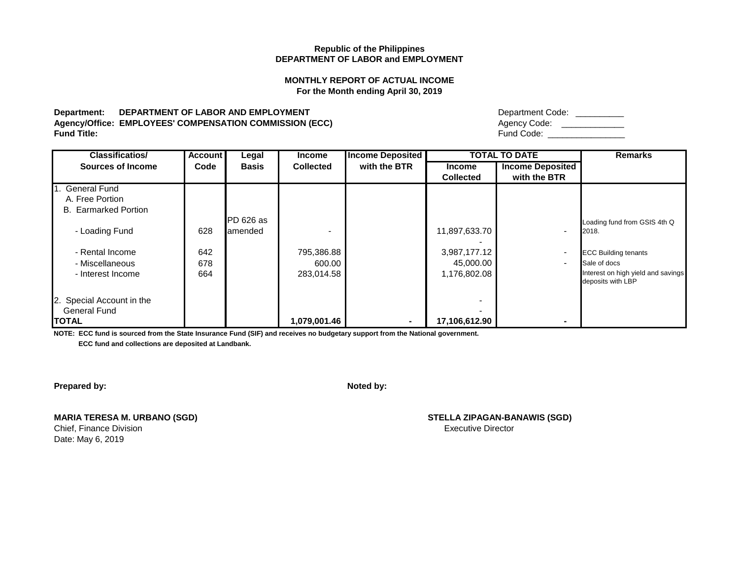## **MONTHLY REPORT OF ACTUAL INCOME For the Month ending April 30, 2019**

# Department: DEPARTMENT OF LABOR AND EMPLOYMENT **Department Code:** \_\_\_\_\_\_\_\_\_\_\_\_\_\_\_ Agency/Office: EMPLOYEES' COMPENSATION COMMISSION (ECC) **Fund Title:** Fund Code: \_\_\_\_\_\_\_\_\_\_\_\_\_\_\_\_

| <b>Classificatios/</b>                                            | <b>Account</b>    | Legal        | <b>Income</b>                      | <b>Income Deposited</b> |                                           | <b>TOTAL TO DATE</b>                       | <b>Remarks</b>                                                                                         |
|-------------------------------------------------------------------|-------------------|--------------|------------------------------------|-------------------------|-------------------------------------------|--------------------------------------------|--------------------------------------------------------------------------------------------------------|
| <b>Sources of Income</b>                                          | Code              | <b>Basis</b> | <b>Collected</b>                   | with the BTR            | <b>Income</b><br><b>Collected</b>         | <b>Income Deposited</b><br>with the BTR    |                                                                                                        |
| 1. General Fund<br>A. Free Portion<br><b>B.</b> Earmarked Portion |                   | PD 626 as    |                                    |                         |                                           |                                            |                                                                                                        |
| - Loading Fund                                                    | 628               | lamended     |                                    |                         | 11,897,633.70                             |                                            | Loading fund from GSIS 4th Q<br>2018.                                                                  |
| - Rental Income<br>- Miscellaneous<br>- Interest Income           | 642<br>678<br>664 |              | 795,386.88<br>600.00<br>283,014.58 |                         | 3,987,177.12<br>45,000.00<br>1,176,802.08 | $\overline{\phantom{a}}$<br>$\blacksquare$ | <b>ECC Building tenants</b><br>Sale of docs<br>Interest on high yield and savings<br>deposits with LBP |
| 2. Special Account in the<br><b>General Fund</b><br><b>TOTAL</b>  |                   |              | 1,079,001.46                       | ۰.                      | 17,106,612.90                             |                                            |                                                                                                        |

**NOTE: ECC fund is sourced from the State Insurance Fund (SIF) and receives no budgetary support from the National government.**

 **ECC fund and collections are deposited at Landbank.**

**Prepared by: Noted by: Noted by: Noted by: Noted by: Noted by: Noted by: Noted by: Noted by: Noted by: Noted by: Noted by: Noted by: Noted by: Noted by: Noted by: Noted by: Noted by: No** 

**MARIA TERESA M. URBANO (SGD) STELLA ZIPAGAN-BANAWIS (SGD) Chief, Finance Division Chief, Finance Division** Executive Director Date: May 6, 2019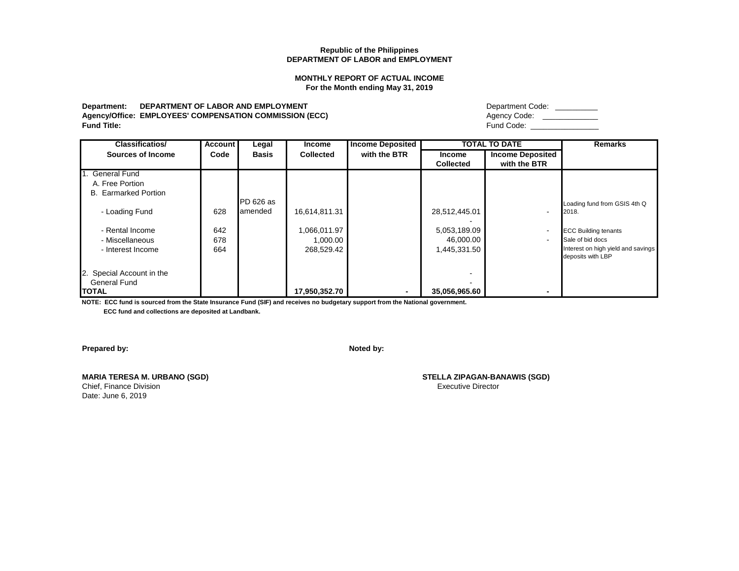#### **MONTHLY REPORT OF ACTUAL INCOME For the Month ending May 31, 2019**

# **Department: DEPARTMENT OF LABOR AND EMPLOYMENT** Department Code: \_\_\_\_\_\_\_\_\_\_ **Agency/Office: EMPLOYEES' COMPENSATION COMMISSION (ECC)**<br>Fund Title:

| Department Code: |  |
|------------------|--|
|                  |  |

**Fund Title:** Fund Code: \_\_\_\_\_\_\_\_\_\_\_\_\_\_\_\_

| <b>Classificatios/</b>                                            | Account           | Legal                | <b>Income</b>                          | <b>Income Deposited</b> |                                           | <b>TOTAL TO DATE</b>                    | <b>Remarks</b>                                                                                            |
|-------------------------------------------------------------------|-------------------|----------------------|----------------------------------------|-------------------------|-------------------------------------------|-----------------------------------------|-----------------------------------------------------------------------------------------------------------|
| Sources of Income                                                 | Code              | <b>Basis</b>         | <b>Collected</b>                       | with the BTR            | <b>Income</b><br><b>Collected</b>         | <b>Income Deposited</b><br>with the BTR |                                                                                                           |
| 1. General Fund<br>A. Free Portion<br><b>B.</b> Earmarked Portion |                   |                      |                                        |                         |                                           |                                         |                                                                                                           |
| - Loading Fund                                                    | 628               | PD 626 as<br>amended | 16,614,811.31                          |                         | 28,512,445.01                             | $\blacksquare$                          | Loading fund from GSIS 4th Q<br>2018.                                                                     |
| - Rental Income<br>- Miscellaneous<br>- Interest Income           | 642<br>678<br>664 |                      | 1,066,011.97<br>1,000.00<br>268,529.42 |                         | 5,053,189.09<br>46,000.00<br>1,445,331.50 | $\blacksquare$<br>$\blacksquare$        | <b>ECC Building tenants</b><br>Sale of bid docs<br>nterest on high yield and savings<br>deposits with LBP |
| 2. Special Account in the<br><b>General Fund</b><br><b>TOTAL</b>  |                   |                      | 17,950,352.70                          | ۰.                      | 35,056,965.60                             | $\overline{\phantom{a}}$                |                                                                                                           |

**NOTE: ECC fund is sourced from the State Insurance Fund (SIF) and receives no budgetary support from the National government.**

 **ECC fund and collections are deposited at Landbank.**

**Prepared by: Noted by: Noted by: Noted by: Noted by: Noted by: Noted by: Noted by: Noted by: Noted by: Noted by: Noted by: Noted by: Noted by: Noted by: Noted by: Noted by: Noted by: No** 

Chief, Finance Division Date: June 6, 2019

**MARIA TERESA M. URBANO (SGD) STELLA ZIPAGAN-BANAWIS (SGD)**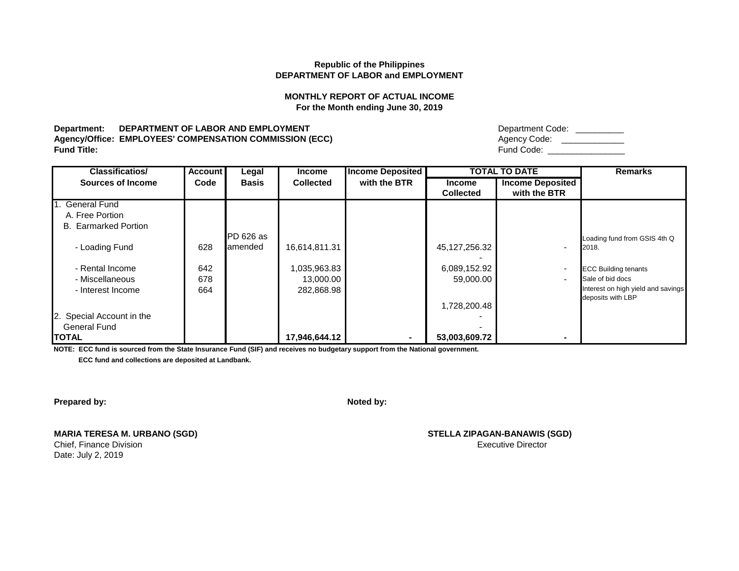# **MONTHLY REPORT OF ACTUAL INCOME For the Month ending June 30, 2019**

## **Department: DEPARTMENT OF LABOR AND EMPLOYMENT** Agency/Office: EMPLOYEES' COMPENSATION COMMISSION (ECC) **Fund Title:** Fund Code: \_\_\_\_\_\_\_\_\_\_\_\_\_\_\_\_

| Department Code: |  |
|------------------|--|
| Agency Code:     |  |
| Fund Code:       |  |

| <b>Classificatios/</b>      | <b>Account</b> | Legal        | <b>Income</b>    | <b>Income Deposited</b> |                                   | <b>TOTAL TO DATE</b>                    | <b>Remarks</b>                     |
|-----------------------------|----------------|--------------|------------------|-------------------------|-----------------------------------|-----------------------------------------|------------------------------------|
| <b>Sources of Income</b>    | Code           | <b>Basis</b> | <b>Collected</b> | with the BTR            | <b>Income</b><br><b>Collected</b> | <b>Income Deposited</b><br>with the BTR |                                    |
|                             |                |              |                  |                         |                                   |                                         |                                    |
| 1. General Fund             |                |              |                  |                         |                                   |                                         |                                    |
| A. Free Portion             |                |              |                  |                         |                                   |                                         |                                    |
| <b>B.</b> Earmarked Portion |                |              |                  |                         |                                   |                                         |                                    |
|                             |                | PD 626 as    |                  |                         |                                   |                                         | Loading fund from GSIS 4th Q       |
| - Loading Fund              | 628            | lamended     | 16,614,811.31    |                         | 45,127,256.32                     |                                         | 2018.                              |
|                             |                |              |                  |                         |                                   |                                         |                                    |
| - Rental Income             | 642            |              | 035,963.83       |                         | 6,089,152.92                      | $\overline{\phantom{a}}$                | <b>ECC Building tenants</b>        |
| - Miscellaneous             | 678            |              | 13,000.00        |                         | 59,000.00                         | $\overline{\phantom{0}}$                | Sale of bid docs                   |
| - Interest Income           | 664            |              | 282,868.98       |                         |                                   |                                         | Interest on high yield and savings |
|                             |                |              |                  |                         |                                   |                                         | deposits with LBP                  |
|                             |                |              |                  |                         | 1,728,200.48                      |                                         |                                    |
| 2. Special Account in the   |                |              |                  |                         |                                   |                                         |                                    |
| <b>General Fund</b>         |                |              |                  |                         |                                   |                                         |                                    |
| <b>ITOTAL</b>               |                |              | 17,946,644.12    | ۰.                      | 53,003,609.72                     |                                         |                                    |

**NOTE: ECC fund is sourced from the State Insurance Fund (SIF) and receives no budgetary support from the National government.**

 **ECC fund and collections are deposited at Landbank.**

**Prepared by: Noted by: Noted by: Noted by: Noted by: Noted by: Noted by: Noted by: Noted by: Noted by: Noted by: Noted by: Noted by: Noted by: Noted by: Noted by: Noted by: Noted by: No** 

**MARIA TERESA M. URBANO (SGD) STELLA ZIPAGAN-BANAWIS (SGD)** Chief, Finance Division Date: July 2, 2019

Executive Director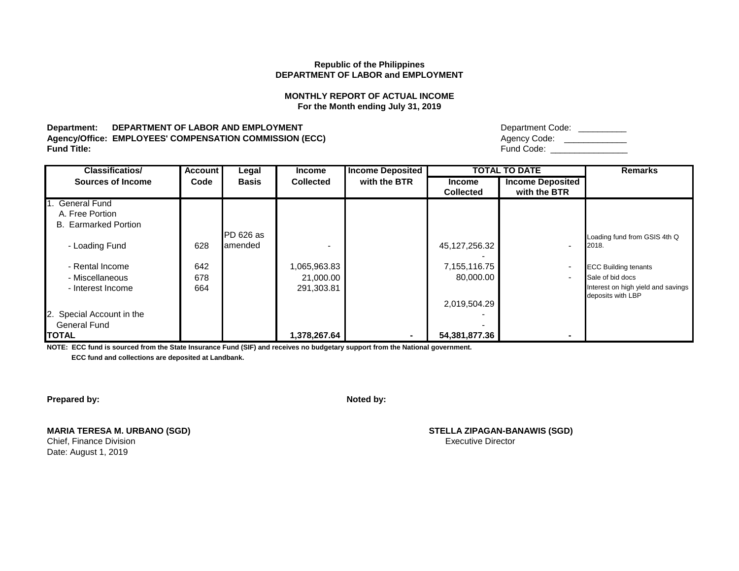## **MONTHLY REPORT OF ACTUAL INCOME For the Month ending July 31, 2019**

## Department: DEPARTMENT OF LABOR AND EMPLOYMENT Agency/Office: EMPLOYEES' COMPENSATION COMMISSION (ECC) **Fund Title:** Fund Code: \_\_\_\_\_\_\_\_\_\_\_\_\_\_\_\_

| Department Code: |  |
|------------------|--|
| Agency Code:     |  |
| Fund Code:       |  |

| <b>Classificatios/</b>      | <b>Account</b> | Legal        | <b>Income</b>    | <b>Income Deposited</b> |                  | <b>TOTAL TO DATE</b>     | <b>Remarks</b>                     |
|-----------------------------|----------------|--------------|------------------|-------------------------|------------------|--------------------------|------------------------------------|
| <b>Sources of Income</b>    | Code           | <b>Basis</b> | <b>Collected</b> | with the BTR            | <b>Income</b>    | <b>Income Deposited</b>  |                                    |
|                             |                |              |                  |                         | <b>Collected</b> | with the BTR             |                                    |
| 1. General Fund             |                |              |                  |                         |                  |                          |                                    |
| A. Free Portion             |                |              |                  |                         |                  |                          |                                    |
| <b>B.</b> Earmarked Portion |                |              |                  |                         |                  |                          |                                    |
|                             |                | PD 626 as    |                  |                         |                  |                          | Loading fund from GSIS 4th Q       |
| - Loading Fund              | 628            | amended      |                  |                         | 45,127,256.32    | $\overline{\phantom{a}}$ | 2018.                              |
|                             |                |              |                  |                         |                  |                          |                                    |
| - Rental Income             | 642            |              | 1,065,963.83     |                         | 7,155,116.75     | $\blacksquare$           | <b>ECC Building tenants</b>        |
| - Miscellaneous             | 678            |              | 21,000.00        |                         | 80,000.00        | $\blacksquare$           | Sale of bid docs                   |
| - Interest Income           | 664            |              | 291,303.81       |                         |                  |                          | Interest on high yield and savings |
|                             |                |              |                  |                         |                  |                          | deposits with LBP                  |
|                             |                |              |                  |                         | 2,019,504.29     |                          |                                    |
| 2. Special Account in the   |                |              |                  |                         |                  |                          |                                    |
| <b>General Fund</b>         |                |              |                  |                         |                  |                          |                                    |
| <b>ITOTAL</b>               |                |              | 1,378,267.64     | ۰.                      | 54,381,877.36    | ۰                        |                                    |

**NOTE: ECC fund is sourced from the State Insurance Fund (SIF) and receives no budgetary support from the National government.**

 **ECC fund and collections are deposited at Landbank.**

**Prepared by: Noted by: Noted by: Noted by: Noted by: Noted by: Noted by: Noted by: Noted by: Noted by: Noted by: Noted by: Noted by: Noted by: Noted by: Noted by: Noted by: Noted by: No** 

**MARIA TERESA M. URBANO (SGD) STELLA ZIPAGAN-BANAWIS (SGD)**

Date: August 1, 2019

Chief, Finance Division **Executive Director**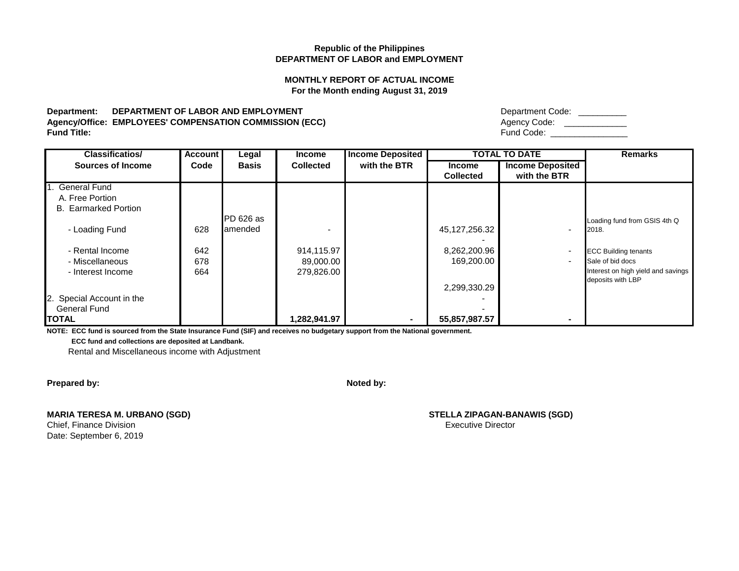## **MONTHLY REPORT OF ACTUAL INCOME For the Month ending August 31, 2019**

## **Department: DEPARTMENT OF LABOR AND EMPLOYMENT** Agency/Office: EMPLOYEES' COMPENSATION COMMISSION (ECC) **Fund Title:** Fund Code: \_\_\_\_\_\_\_\_\_\_\_\_\_\_\_\_

| Department Code: |  |
|------------------|--|
| Agency Code:     |  |
| Fund Code:       |  |

| <b>Classificatios/</b>      | Account | Legal        | <b>Income</b>    | <b>Income Deposited</b> |                  | <b>TOTAL TO DATE</b>     | <b>Remarks</b>                     |
|-----------------------------|---------|--------------|------------------|-------------------------|------------------|--------------------------|------------------------------------|
| <b>Sources of Income</b>    | Code    | <b>Basis</b> | <b>Collected</b> | with the BTR            | <b>Income</b>    | <b>Income Deposited</b>  |                                    |
|                             |         |              |                  |                         | <b>Collected</b> | with the BTR             |                                    |
| <b>General Fund</b>         |         |              |                  |                         |                  |                          |                                    |
| A. Free Portion             |         |              |                  |                         |                  |                          |                                    |
| <b>B.</b> Earmarked Portion |         |              |                  |                         |                  |                          |                                    |
|                             |         | PD 626 as    |                  |                         |                  |                          | Loading fund from GSIS 4th Q       |
| - Loading Fund              | 628     | lamended     |                  |                         | 45,127,256.32    | $\overline{\phantom{a}}$ | 2018.                              |
|                             |         |              |                  |                         |                  |                          |                                    |
| - Rental Income             | 642     |              | 914,115.97       |                         | 8,262,200.96     | $\blacksquare$           | <b>ECC Building tenants</b>        |
| - Miscellaneous             | 678     |              | 89,000.00        |                         | 169,200.00       | $\overline{\phantom{a}}$ | Sale of bid docs                   |
| - Interest Income           | 664     |              | 279,826.00       |                         |                  |                          | Interest on high yield and savings |
|                             |         |              |                  |                         |                  |                          | deposits with LBP                  |
|                             |         |              |                  |                         | 2,299,330.29     |                          |                                    |
| 2. Special Account in the   |         |              |                  |                         |                  |                          |                                    |
| <b>General Fund</b>         |         |              |                  |                         |                  |                          |                                    |
| <b>ITOTAL</b>               |         |              | 1,282,941.97     |                         | 55,857,987.57    | $\overline{\phantom{0}}$ |                                    |

**NOTE: ECC fund is sourced from the State Insurance Fund (SIF) and receives no budgetary support from the National government.**

 **ECC fund and collections are deposited at Landbank.**

Rental and Miscellaneous income with Adjustment

**Prepared by: Noted by: Noted by: Noted by: Noted by: Noted by: Noted by: Noted by: Noted by: Noted by: Noted by: Noted by: Noted by: Noted by: Noted by: Noted by: Noted by: Noted by: No** 

| <b>MARIA TERESA M. URBANO (SGD)</b> |
|-------------------------------------|
| Chief, Finance Division             |
| Date: September 6, 2019             |

 $STELLA ZIPAGAN-BANAWIS (SGD)$ Executive Director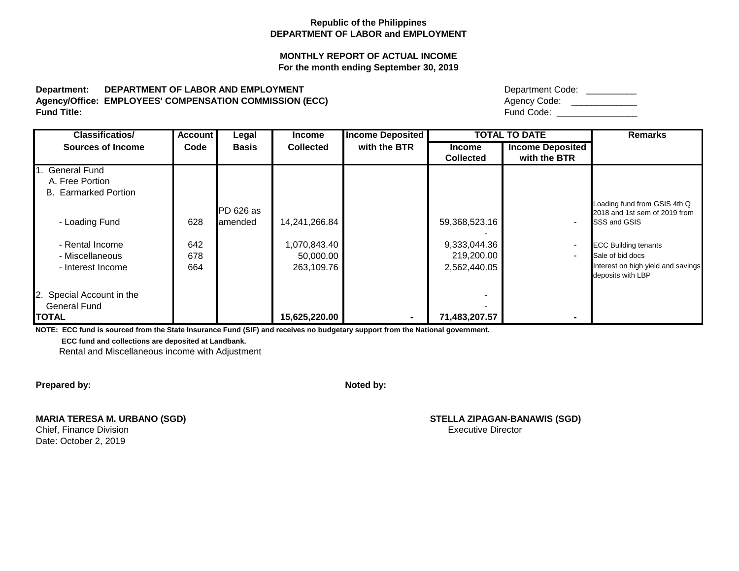# **MONTHLY REPORT OF ACTUAL INCOME For the month ending September 30, 2019**

# Department: DEPARTMENT OF LABOR AND EMPLOYMENT Agency/Office: EMPLOYEES' COMPENSATION COMMISSION (ECC) **Fund Title:** Fund Code: \_\_\_\_\_\_\_\_\_\_\_\_\_\_\_\_

| Department Code: |  |
|------------------|--|
| Agency Code:     |  |
| Fund Code:       |  |

| <b>Classificatios/</b>      | <b>Account</b> | Legal        | <b>Income</b>    | <b>Income Deposited</b> | <b>TOTAL TO DATE</b>              |                                         | <b>Remarks</b>                                                |
|-----------------------------|----------------|--------------|------------------|-------------------------|-----------------------------------|-----------------------------------------|---------------------------------------------------------------|
| <b>Sources of Income</b>    | Code           | <b>Basis</b> | <b>Collected</b> | with the BTR            | <b>Income</b><br><b>Collected</b> | <b>Income Deposited</b><br>with the BTR |                                                               |
| <b>General Fund</b>         |                |              |                  |                         |                                   |                                         |                                                               |
| A. Free Portion             |                |              |                  |                         |                                   |                                         |                                                               |
| <b>B.</b> Earmarked Portion |                |              |                  |                         |                                   |                                         |                                                               |
|                             |                | PD 626 as    |                  |                         |                                   |                                         | Loading fund from GSIS 4th Q<br>2018 and 1st sem of 2019 from |
| - Loading Fund              | 628            | lamended     | 14,241,266.84    |                         | 59,368,523.16                     | $\overline{\phantom{a}}$                | SSS and GSIS                                                  |
| - Rental Income             | 642            |              | 1,070,843.40     |                         | 9,333,044.36                      | $\overline{\phantom{a}}$                | <b>ECC Building tenants</b>                                   |
| - Miscellaneous             | 678            |              | 50,000.00        |                         | 219,200.00                        | $\blacksquare$                          | Sale of bid docs                                              |
| - Interest Income           | 664            |              | 263,109.76       |                         | 2,562,440.05                      |                                         | nterest on high yield and savings<br>deposits with LBP        |
| 2. Special Account in the   |                |              |                  |                         |                                   |                                         |                                                               |
| <b>General Fund</b>         |                |              |                  |                         |                                   |                                         |                                                               |
| <b>TOTAL</b>                |                |              | 15,625,220.00    | ۰.                      | 71,483,207.57                     | ۰                                       |                                                               |

**NOTE: ECC fund is sourced from the State Insurance Fund (SIF) and receives no budgetary support from the National government.**

 **ECC fund and collections are deposited at Landbank.**

Rental and Miscellaneous income with Adjustment

**Prepared by: Noted by: Noted by: Noted by: Noted by: Noted by: Noted by: Noted by: Noted by: Noted by: Noted by: Noted by: Noted by: Noted by: Noted by: Noted by: Noted by: Noted by: No** 

**MARIA TERESA M. URBANO (SGD) STELLA ZIPAGAN-BANAWIS (SGD)**

Date: October 2, 2019

Chief, Finance Division **Executive Director** Chief, Finance Division **Executive Director**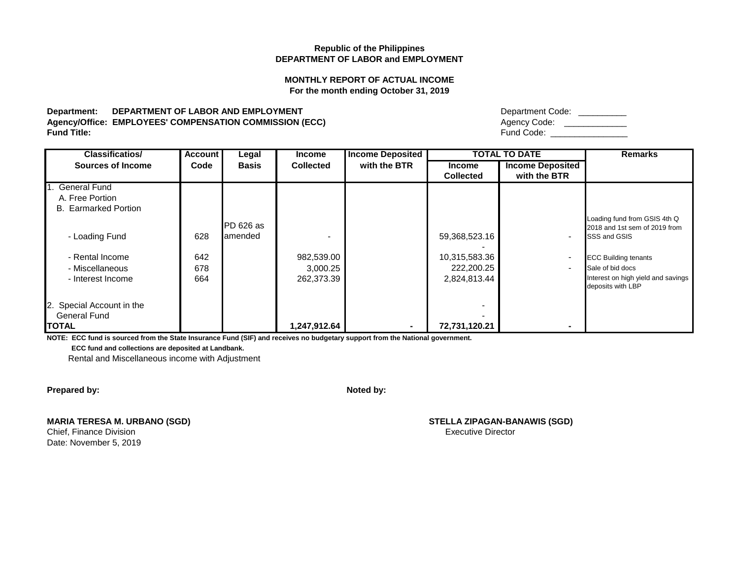## **MONTHLY REPORT OF ACTUAL INCOME For the month ending October 31, 2019**

## **Department: DEPARTMENT OF LABOR AND EMPLOYMENT** Agency/Office: EMPLOYEES' COMPENSATION COMMISSION (ECC) **Fund Title:** Fund Code: \_\_\_\_\_\_\_\_\_\_\_\_\_\_\_\_

| Department Code: |  |
|------------------|--|
| Agency Code:     |  |
| Fund Code:       |  |

| <b>Classificatios/</b>      | Account | Legal        | <b>Income</b>    | <b>Income Deposited</b> |                  | <b>TOTAL TO DATE</b>     | <b>Remarks</b>                    |
|-----------------------------|---------|--------------|------------------|-------------------------|------------------|--------------------------|-----------------------------------|
| <b>Sources of Income</b>    | Code    | <b>Basis</b> | <b>Collected</b> | with the BTR            | <b>Income</b>    | <b>Income Deposited</b>  |                                   |
|                             |         |              |                  |                         | <b>Collected</b> | with the BTR             |                                   |
| 1. General Fund             |         |              |                  |                         |                  |                          |                                   |
| A. Free Portion             |         |              |                  |                         |                  |                          |                                   |
| <b>B.</b> Earmarked Portion |         |              |                  |                         |                  |                          |                                   |
|                             |         |              |                  |                         |                  |                          | Loading fund from GSIS 4th Q      |
|                             |         | PD 626 as    |                  |                         |                  |                          | 2018 and 1st sem of 2019 from     |
| - Loading Fund              | 628     | lamended     |                  |                         | 59,368,523.16    | $\blacksquare$           | SSS and GSIS                      |
|                             |         |              |                  |                         |                  |                          |                                   |
| - Rental Income             | 642     |              | 982,539.00       |                         | 10,315,583.36    | $\blacksquare$           | <b>ECC Building tenants</b>       |
| - Miscellaneous             | 678     |              | 3,000.25         |                         | 222,200.25       | $\overline{\phantom{a}}$ | Sale of bid docs                  |
| - Interest Income           | 664     |              | 262,373.39       |                         | 2,824,813.44     |                          | nterest on high yield and savings |
|                             |         |              |                  |                         |                  |                          | deposits with LBP                 |
| 2. Special Account in the   |         |              |                  |                         |                  |                          |                                   |
| <b>General Fund</b>         |         |              |                  |                         |                  |                          |                                   |
| <b>ITOTAL</b>               |         |              | 1,247,912.64     |                         | 72,731,120.21    |                          |                                   |

**NOTE: ECC fund is sourced from the State Insurance Fund (SIF) and receives no budgetary support from the National government.**

 **ECC fund and collections are deposited at Landbank.**

Rental and Miscellaneous income with Adjustment

**Prepared by: Noted by: Noted by: Noted by: Noted by: Noted by: Noted by: Noted by: Noted by: Noted by: Noted by: Noted by: Noted by: Noted by: Noted by: Noted by: Noted by: Noted by: No** 

**MARIA TERESA M. URBANO (SGD) STELLA ZIPAGAN-BANAWIS (SGD)**

Date: November 5, 2019

**Chief, Finance Division Chief, Finance Division** Executive Director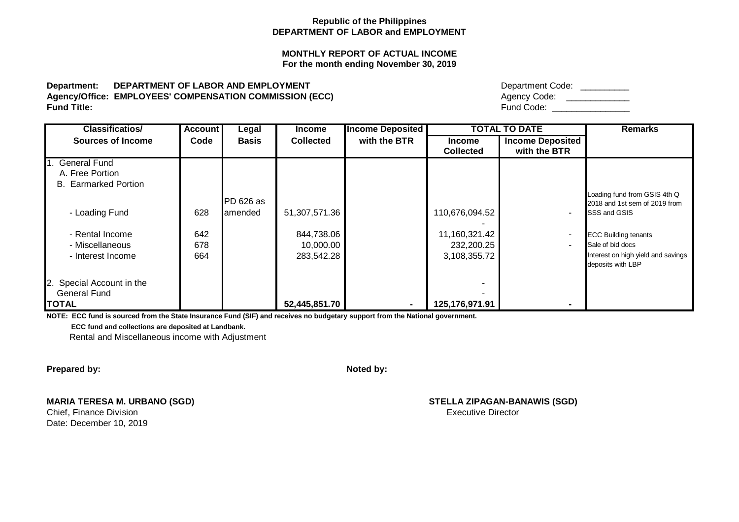# **MONTHLY REPORT OF ACTUAL INCOME For the month ending November 30, 2019**

# **Department: DEPARTMENT OF LABOR AND EMPLOYMENT** Agency/Office: EMPLOYEES' COMPENSATION COMMISSION (ECC) Agency/Office:  $\beta$ **Fund Title:** Fund Code: \_\_\_\_\_\_\_\_\_\_\_\_\_\_\_\_

| Department Code: |  |
|------------------|--|
| Agency Code:     |  |
| Fund Code:       |  |

| <b>Classificatios/</b>      | <b>Account</b> | Legal            | <b>Income</b>    | <b>Income Deposited</b> |                  | <b>TOTAL TO DATE</b>    | <b>Remarks</b>                     |
|-----------------------------|----------------|------------------|------------------|-------------------------|------------------|-------------------------|------------------------------------|
| <b>Sources of Income</b>    | Code           | <b>Basis</b>     | <b>Collected</b> | with the BTR            | <b>Income</b>    | <b>Income Deposited</b> |                                    |
|                             |                |                  |                  |                         | <b>Collected</b> | with the BTR            |                                    |
| 1. General Fund             |                |                  |                  |                         |                  |                         |                                    |
| A. Free Portion             |                |                  |                  |                         |                  |                         |                                    |
| <b>B.</b> Earmarked Portion |                |                  |                  |                         |                  |                         |                                    |
|                             |                |                  |                  |                         |                  |                         | Loading fund from GSIS 4th Q       |
|                             |                | <b>PD 626 as</b> |                  |                         |                  |                         | 2018 and 1st sem of 2019 from      |
| - Loading Fund              | 628            | lamended         | 51,307,571.36    |                         | 110,676,094.52   |                         | <b>SSS and GSIS</b>                |
|                             |                |                  |                  |                         |                  |                         |                                    |
| - Rental Income             | 642            |                  | 844,738.06       |                         | 11,160,321.42    |                         | <b>ECC Building tenants</b>        |
| - Miscellaneous             | 678            |                  | 10,000.00        |                         | 232,200.25       |                         | Sale of bid docs                   |
| - Interest Income           | 664            |                  | 283,542.28       |                         | 3,108,355.72     |                         | Interest on high yield and savings |
|                             |                |                  |                  |                         |                  |                         | deposits with LBP                  |
| 2. Special Account in the   |                |                  |                  |                         |                  |                         |                                    |
| <b>General Fund</b>         |                |                  |                  |                         |                  |                         |                                    |
| <b>TOTAL</b>                |                |                  | 52,445,851.70    | $\blacksquare$          | 125,176,971.91   |                         |                                    |

**NOTE: ECC fund is sourced from the State Insurance Fund (SIF) and receives no budgetary support from the National government.**

 **ECC fund and collections are deposited at Landbank.**

Rental and Miscellaneous income with Adjustment

**Prepared by: Noted by: Noted by: Noted by: Noted by: Noted by: Noted by: Noted by: Noted by: Noted by: Noted by: Noted by: Noted by: Noted by: Noted by: Noted by: Noted by: Noted by: No** 

# **MARIA TERESA M. URBANO (SGD) STELLA ZIPAGAN-BANAWIS (SGD)**

Chief, Finance Division **Executive Director** Executive Director Date: December 10, 2019